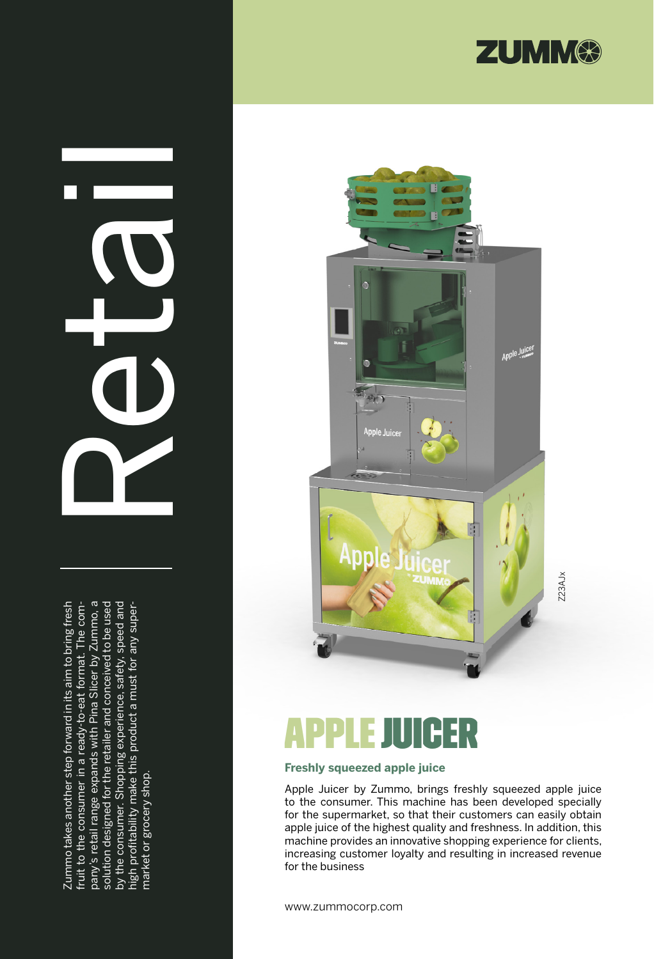

# Retails

Zummo takes another step forward in its aim to bring fresh pany's retail range expands with Pina Slicer by Zummo, a solution designed for the retailer and conceived to be used by the consumer. Shopping experience, safety, speed and Zummo takes another step forward in its aim to bring fresh fruit to the consumer in a ready-to-eat format. The company's retail range expands with Pina Slicer by Zummo, a solution designed for the retailer and conceived to be used by the consumer. Shopping experience, safety, speed and fruit to the consumer in a ready-to-eat format. The comhigh profitability make this product a must for any superhigh profitability make this product a must for any supermarket or grocery shop. market or grocery shop.



# **APPLE JUICER**

### **Freshly squeezed apple juice**

Apple Juicer by Zummo, brings freshly squeezed apple juice to the consumer. This machine has been developed specially for the supermarket, so that their customers can easily obtain apple juice of the highest quality and freshness. In addition, this machine provides an innovative shopping experience for clients, increasing customer loyalty and resulting in increased revenue for the business

www.zummocorp.com